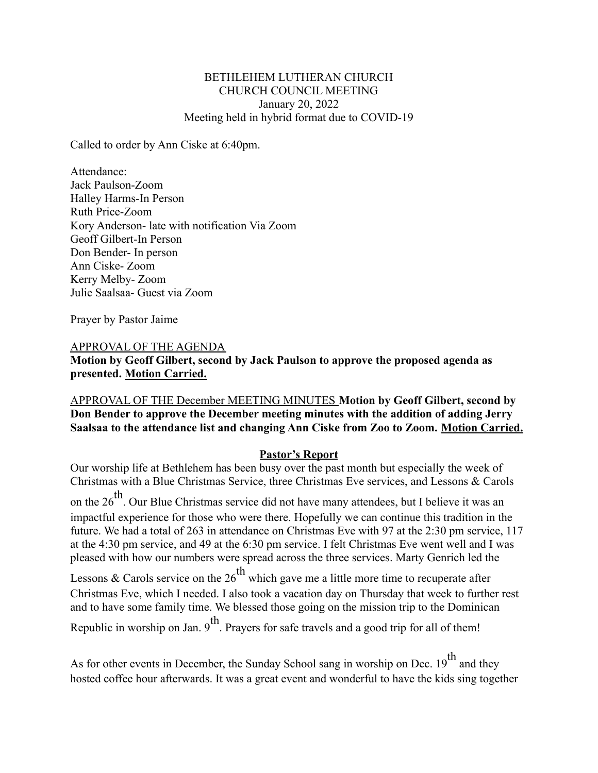#### BETHLEHEM LUTHERAN CHURCH CHURCH COUNCIL MEETING January 20, 2022 Meeting held in hybrid format due to COVID-19

Called to order by Ann Ciske at 6:40pm.

Attendance: Jack Paulson-Zoom Halley Harms-In Person Ruth Price-Zoom Kory Anderson- late with notification Via Zoom Geoff Gilbert-In Person Don Bender- In person Ann Ciske- Zoom Kerry Melby- Zoom Julie Saalsaa- Guest via Zoom

Prayer by Pastor Jaime

#### APPROVAL OF THE AGENDA

**Motion by Geoff Gilbert, second by Jack Paulson to approve the proposed agenda as presented. Motion Carried.**

APPROVAL OF THE December MEETING MINUTES **Motion by Geoff Gilbert, second by Don Bender to approve the December meeting minutes with the addition of adding Jerry Saalsaa to the attendance list and changing Ann Ciske from Zoo to Zoom. Motion Carried.**

#### **Pastor's Report**

Our worship life at Bethlehem has been busy over the past month but especially the week of Christmas with a Blue Christmas Service, three Christmas Eve services, and Lessons & Carols on the  $26<sup>th</sup>$ . Our Blue Christmas service did not have many attendees, but I believe it was an impactful experience for those who were there. Hopefully we can continue this tradition in the future. We had a total of 263 in attendance on Christmas Eve with 97 at the 2:30 pm service, 117 at the 4:30 pm service, and 49 at the 6:30 pm service. I felt Christmas Eve went well and I was pleased with how our numbers were spread across the three services. Marty Genrich led the Lessons & Carols service on the  $26<sup>th</sup>$  which gave me a little more time to recuperate after Christmas Eve, which I needed. I also took a vacation day on Thursday that week to further rest and to have some family time. We blessed those going on the mission trip to the Dominican Republic in worship on Jan.  $9<sup>th</sup>$ . Prayers for safe travels and a good trip for all of them!

As for other events in December, the Sunday School sang in worship on Dec.  $19^{th}$  and they hosted coffee hour afterwards. It was a great event and wonderful to have the kids sing together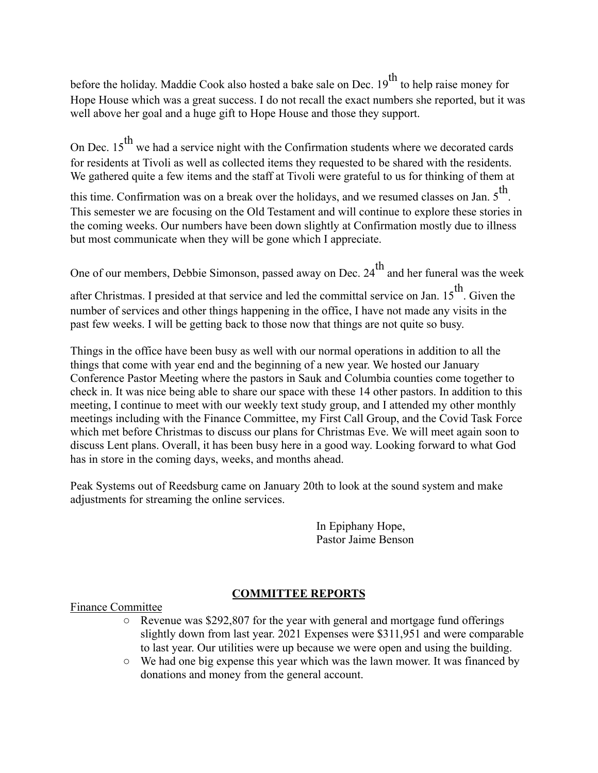before the holiday. Maddie Cook also hosted a bake sale on Dec.  $19^{th}$  to help raise money for Hope House which was a great success. I do not recall the exact numbers she reported, but it was well above her goal and a huge gift to Hope House and those they support.

On Dec.  $15^{th}$  we had a service night with the Confirmation students where we decorated cards for residents at Tivoli as well as collected items they requested to be shared with the residents. We gathered quite a few items and the staff at Tivoli were grateful to us for thinking of them at

this time. Confirmation was on a break over the holidays, and we resumed classes on Jan.  $5^{\text{th}}$ . This semester we are focusing on the Old Testament and will continue to explore these stories in the coming weeks. Our numbers have been down slightly at Confirmation mostly due to illness but most communicate when they will be gone which I appreciate.

One of our members, Debbie Simonson, passed away on Dec.  $24<sup>th</sup>$  and her funeral was the week

after Christmas. I presided at that service and led the committal service on Jan. 15<sup>th</sup>. Given the number of services and other things happening in the office, I have not made any visits in the past few weeks. I will be getting back to those now that things are not quite so busy.

Things in the office have been busy as well with our normal operations in addition to all the things that come with year end and the beginning of a new year. We hosted our January Conference Pastor Meeting where the pastors in Sauk and Columbia counties come together to check in. It was nice being able to share our space with these 14 other pastors. In addition to this meeting, I continue to meet with our weekly text study group, and I attended my other monthly meetings including with the Finance Committee, my First Call Group, and the Covid Task Force which met before Christmas to discuss our plans for Christmas Eve. We will meet again soon to discuss Lent plans. Overall, it has been busy here in a good way. Looking forward to what God has in store in the coming days, weeks, and months ahead.

Peak Systems out of Reedsburg came on January 20th to look at the sound system and make adjustments for streaming the online services.

> In Epiphany Hope, Pastor Jaime Benson

# **COMMITTEE REPORTS**

Finance Committee

- Revenue was \$292,807 for the year with general and mortgage fund offerings slightly down from last year. 2021 Expenses were \$311,951 and were comparable to last year. Our utilities were up because we were open and using the building.
- We had one big expense this year which was the lawn mower. It was financed by donations and money from the general account.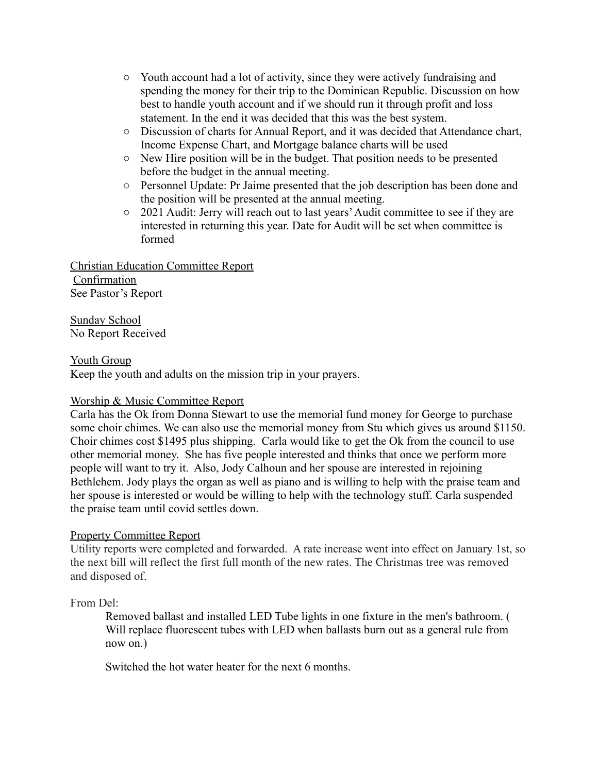- Youth account had a lot of activity, since they were actively fundraising and spending the money for their trip to the Dominican Republic. Discussion on how best to handle youth account and if we should run it through profit and loss statement. In the end it was decided that this was the best system.
- Discussion of charts for Annual Report, and it was decided that Attendance chart, Income Expense Chart, and Mortgage balance charts will be used
- New Hire position will be in the budget. That position needs to be presented before the budget in the annual meeting.
- Personnel Update: Pr Jaime presented that the job description has been done and the position will be presented at the annual meeting.
- 2021 Audit: Jerry will reach out to last years'Audit committee to see if they are interested in returning this year. Date for Audit will be set when committee is formed

Christian Education Committee Report Confirmation See Pastor's Report

Sunday School No Report Received

### Youth Group

Keep the youth and adults on the mission trip in your prayers.

## Worship & Music Committee Report

Carla has the Ok from Donna Stewart to use the memorial fund money for George to purchase some choir chimes. We can also use the memorial money from Stu which gives us around \$1150. Choir chimes cost \$1495 plus shipping. Carla would like to get the Ok from the council to use other memorial money. She has five people interested and thinks that once we perform more people will want to try it. Also, Jody Calhoun and her spouse are interested in rejoining Bethlehem. Jody plays the organ as well as piano and is willing to help with the praise team and her spouse is interested or would be willing to help with the technology stuff. Carla suspended the praise team until covid settles down.

## Property Committee Report

Utility reports were completed and forwarded. A rate increase went into effect on January 1st, so the next bill will reflect the first full month of the new rates. The Christmas tree was removed and disposed of.

## From Del:

Removed ballast and installed LED Tube lights in one fixture in the men's bathroom. ( Will replace fluorescent tubes with LED when ballasts burn out as a general rule from now on.)

Switched the hot water heater for the next 6 months.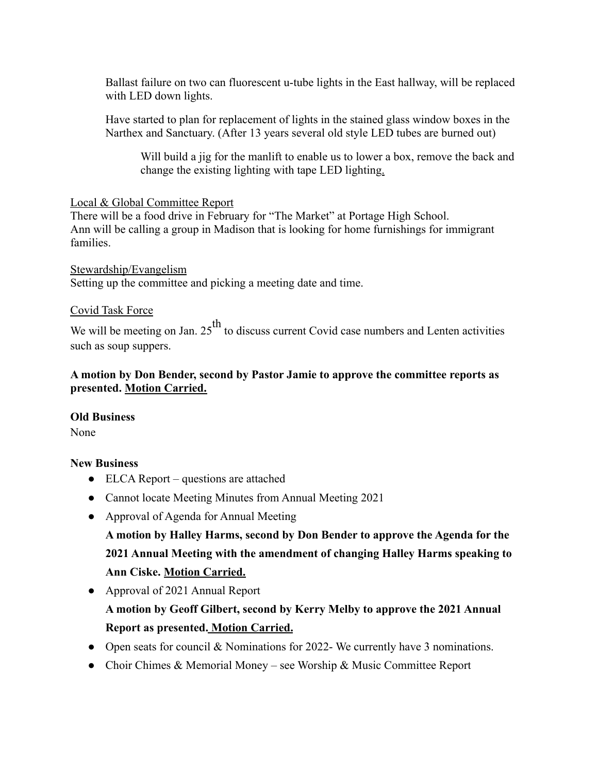Ballast failure on two can fluorescent u-tube lights in the East hallway, will be replaced with LED down lights.

Have started to plan for replacement of lights in the stained glass window boxes in the Narthex and Sanctuary. (After 13 years several old style LED tubes are burned out)

Will build a jig for the manlift to enable us to lower a box, remove the back and change the existing lighting with tape LED lighting.

### Local & Global Committee Report

There will be a food drive in February for "The Market" at Portage High School. Ann will be calling a group in Madison that is looking for home furnishings for immigrant families.

Stewardship/Evangelism Setting up the committee and picking a meeting date and time.

## Covid Task Force

We will be meeting on Jan.  $25<sup>th</sup>$  to discuss current Covid case numbers and Lenten activities such as soup suppers.

## **A motion by Don Bender, second by Pastor Jamie to approve the committee reports as presented. Motion Carried.**

## **Old Business**

None

## **New Business**

- ELCA Report questions are attached
- Cannot locate Meeting Minutes from Annual Meeting 2021
- Approval of Agenda for Annual Meeting

**A motion by Halley Harms, second by Don Bender to approve the Agenda for the 2021 Annual Meeting with the amendment of changing Halley Harms speaking to Ann Ciske. Motion Carried.**

• Approval of 2021 Annual Report

**A motion by Geoff Gilbert, second by Kerry Melby to approve the 2021 Annual Report as presented. Motion Carried.**

- Open seats for council  $&$  Nominations for 2022-We currently have 3 nominations.
- Choir Chimes & Memorial Money see Worship & Music Committee Report